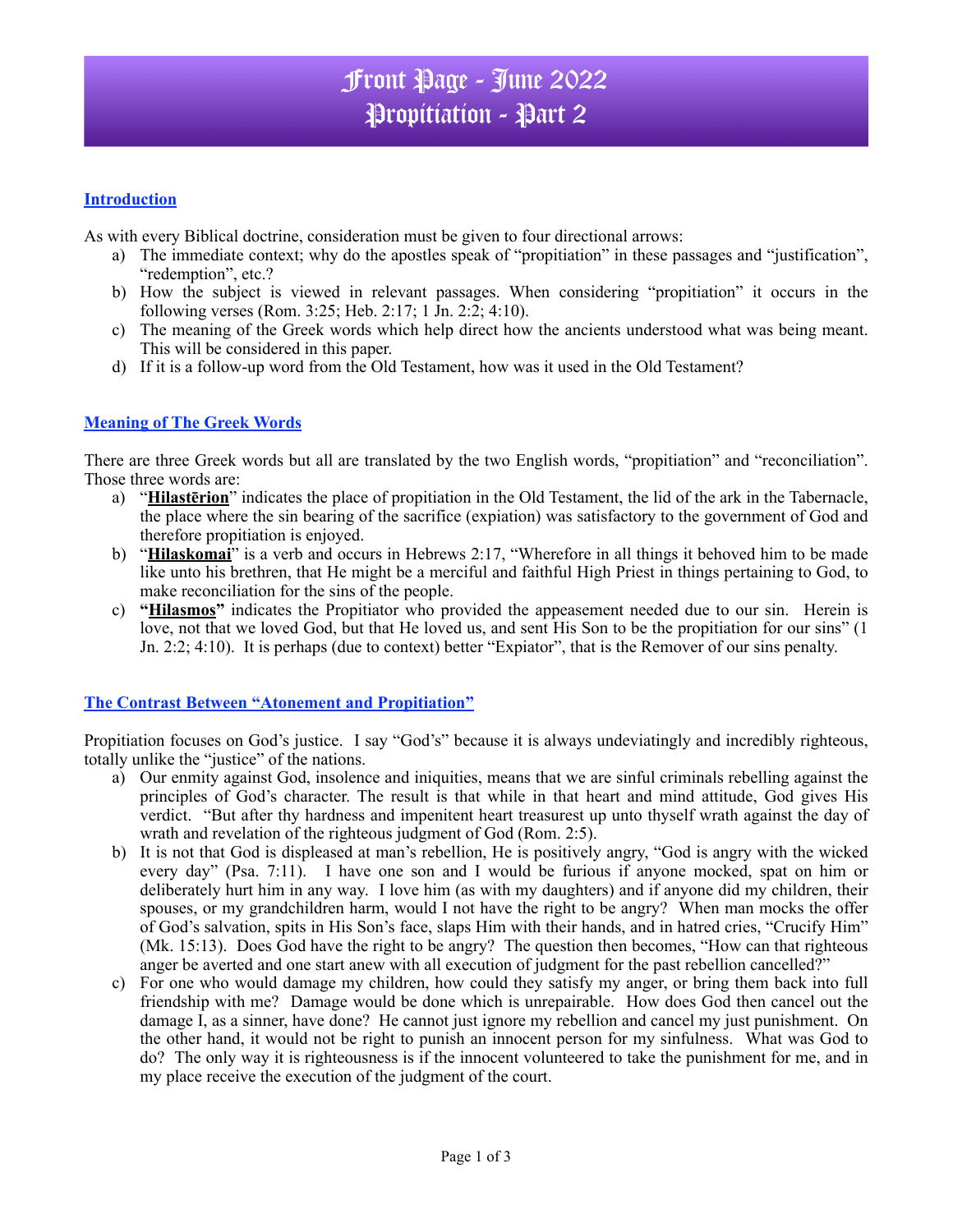# Front Page - June 2022 Propitiation - Part 2

## **Introduction**

As with every Biblical doctrine, consideration must be given to four directional arrows:

- a) The immediate context; why do the apostles speak of "propitiation" in these passages and "justification", "redemption", etc.?
- b) How the subject is viewed in relevant passages. When considering "propitiation" it occurs in the following verses (Rom. 3:25; Heb. 2:17; 1  $\bar{J}$ n. 2:2; 4:10).
- c) The meaning of the Greek words which help direct how the ancients understood what was being meant. This will be considered in this paper.
- d) If it is a follow-up word from the Old Testament, how was it used in the Old Testament?

### **Meaning of The Greek Words**

There are three Greek words but all are translated by the two English words, "propitiation" and "reconciliation". Those three words are:

- a) "**Hilastērion**" indicates the place of propitiation in the Old Testament, the lid of the ark in the Tabernacle, the place where the sin bearing of the sacrifice (expiation) was satisfactory to the government of God and therefore propitiation is enjoyed.
- b) "**Hilaskomai**" is a verb and occurs in Hebrews 2:17, "Wherefore in all things it behoved him to be made like unto his brethren, that He might be a merciful and faithful High Priest in things pertaining to God, to make reconciliation for the sins of the people.
- c) **"Hilasmos"** indicates the Propitiator who provided the appeasement needed due to our sin. Herein is love, not that we loved God, but that He loved us, and sent His Son to be the propitiation for our sins" (1 Jn. 2:2; 4:10). It is perhaps (due to context) better "Expiator", that is the Remover of our sins penalty.

### **The Contrast Between "Atonement and Propitiation"**

Propitiation focuses on God's justice. I say "God's" because it is always undeviatingly and incredibly righteous, totally unlike the "justice" of the nations.

- a) Our enmity against God, insolence and iniquities, means that we are sinful criminals rebelling against the principles of God's character. The result is that while in that heart and mind attitude, God gives His verdict. "But after thy hardness and impenitent heart treasurest up unto thyself wrath against the day of wrath and revelation of the righteous judgment of God (Rom. 2:5).
- b) It is not that God is displeased at man's rebellion, He is positively angry, "God is angry with the wicked every day" (Psa. 7:11). I have one son and I would be furious if anyone mocked, spat on him or deliberately hurt him in any way. I love him (as with my daughters) and if anyone did my children, their spouses, or my grandchildren harm, would I not have the right to be angry? When man mocks the offer of God's salvation, spits in His Son's face, slaps Him with their hands, and in hatred cries, "Crucify Him" (Mk. 15:13). Does God have the right to be angry? The question then becomes, "How can that righteous anger be averted and one start anew with all execution of judgment for the past rebellion cancelled?"
- c) For one who would damage my children, how could they satisfy my anger, or bring them back into full friendship with me? Damage would be done which is unrepairable. How does God then cancel out the damage I, as a sinner, have done? He cannot just ignore my rebellion and cancel my just punishment. On the other hand, it would not be right to punish an innocent person for my sinfulness. What was God to do? The only way it is righteousness is if the innocent volunteered to take the punishment for me, and in my place receive the execution of the judgment of the court.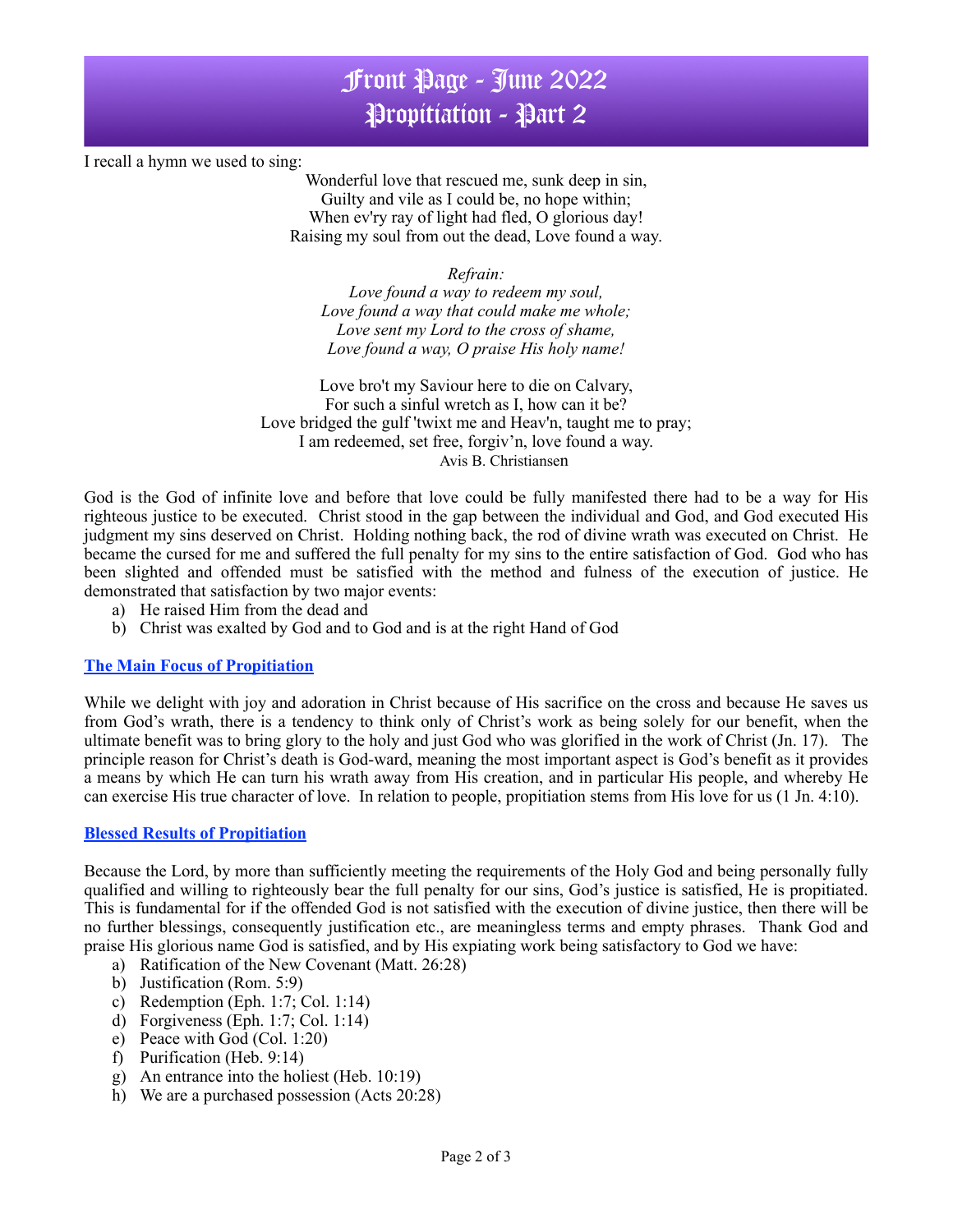## Front Page - June 2022 Propitiation - Part 2

I recall a hymn we used to sing:

Wonderful love that rescued me, sunk deep in sin, Guilty and vile as I could be, no hope within; When ev'ry ray of light had fled, O glorious day! Raising my soul from out the dead, Love found a way.

*Refrain:*

*Love found a way to redeem my soul, Love found a way that could make me whole; Love sent my Lord to the cross of shame, Love found a way, O praise His holy name!*

Love bro't my Saviour here to die on Calvary, For such a sinful wretch as I, how can it be? Love bridged the gulf 'twixt me and Heav'n, taught me to pray; I am redeemed, set free, forgiv'n, love found a way. Avis B. Christiansen

God is the God of infinite love and before that love could be fully manifested there had to be a way for His righteous justice to be executed. Christ stood in the gap between the individual and God, and God executed His judgment my sins deserved on Christ. Holding nothing back, the rod of divine wrath was executed on Christ. He became the cursed for me and suffered the full penalty for my sins to the entire satisfaction of God. God who has been slighted and offended must be satisfied with the method and fulness of the execution of justice. He demonstrated that satisfaction by two major events:

- a) He raised Him from the dead and
- b) Christ was exalted by God and to God and is at the right Hand of God

### **The Main Focus of Propitiation**

While we delight with joy and adoration in Christ because of His sacrifice on the cross and because He saves us from God's wrath, there is a tendency to think only of Christ's work as being solely for our benefit, when the ultimate benefit was to bring glory to the holy and just God who was glorified in the work of Christ (Jn. 17). The principle reason for Christ's death is God-ward, meaning the most important aspect is God's benefit as it provides a means by which He can turn his wrath away from His creation, and in particular His people, and whereby He can exercise His true character of love. In relation to people, propitiation stems from His love for us (1 Jn. 4:10).

### **Blessed Results of Propitiation**

Because the Lord, by more than sufficiently meeting the requirements of the Holy God and being personally fully qualified and willing to righteously bear the full penalty for our sins, God's justice is satisfied, He is propitiated. This is fundamental for if the offended God is not satisfied with the execution of divine justice, then there will be no further blessings, consequently justification etc., are meaningless terms and empty phrases. Thank God and praise His glorious name God is satisfied, and by His expiating work being satisfactory to God we have:

- a) Ratification of the New Covenant (Matt. 26:28)
- b) Justification (Rom. 5:9)
- c) Redemption (Eph. 1:7; Col. 1:14)
- d) Forgiveness (Eph. 1:7; Col. 1:14)
- e) Peace with God (Col. 1:20)
- f) Purification (Heb. 9:14)
- g) An entrance into the holiest (Heb. 10:19)
- h) We are a purchased possession (Acts 20:28)